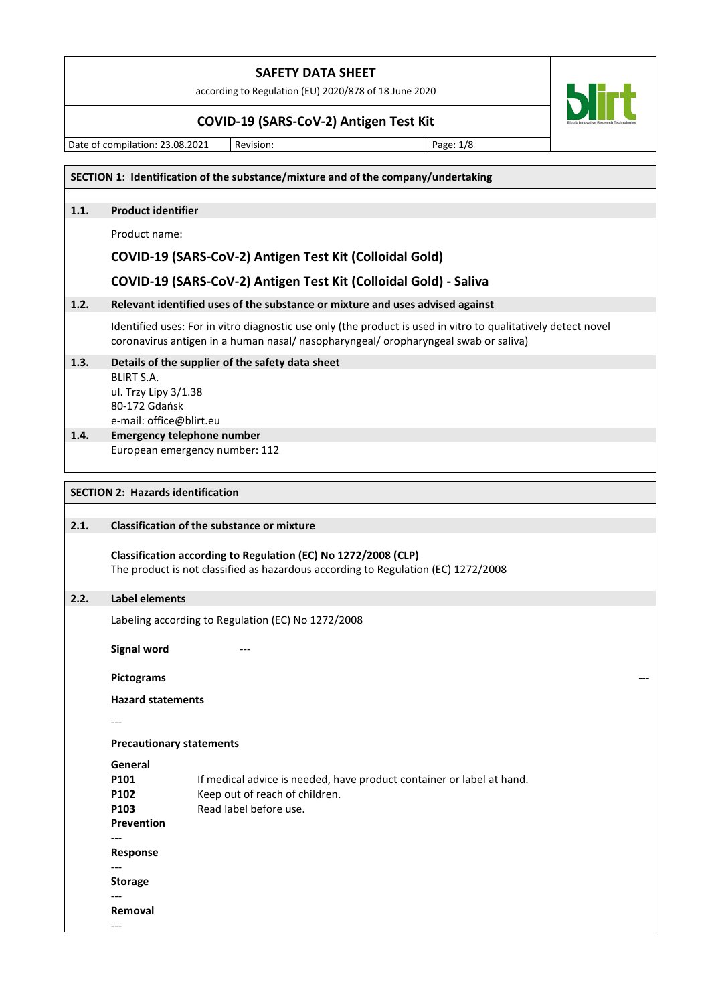according to Regulation (EU) 2020/878 of 18 June 2020

### **COVID-19 (SARS-CoV-2) Antigen Test Kit**

Date of compilation: 23.08.2021 Revision: Page: 1/8

**SECTION 1: Identification of the substance/mixture and of the company/undertaking 1.1. Product identifier** Product name: **COVID-19 (SARS-CoV-2) Antigen Test Kit (Colloidal Gold) COVID-19 (SARS-CoV-2) Antigen Test Kit (Colloidal Gold) - Saliva 1.2. Relevant identified uses of the substance or mixture and uses advised against** Identified uses: For in vitro diagnostic use only (the product is used in vitro to qualitatively detect novel coronavirus antigen in a human nasal/ nasopharyngeal/ oropharyngeal swab or saliva) **1.3. Details of the supplier of the safety data sheet** BLIRT S.A. ul. Trzy Lipy 3/1.38 80-172 Gdańsk e-mail: office@blirt.eu **1.4. Emergency telephone number** European emergency number: 112 **SECTION 2: Hazards identification 2.1. Classification of the substance or mixture Classification according to Regulation (EC) No 1272/2008 (CLP)** The product is not classified as hazardous according to Regulation (EC) 1272/2008 **2.2. Label elements**  Labeling according to Regulation (EC) No 1272/2008 **Signal word Pictograms** --- **Hazard statements** ---

**Precautionary statements**

**General P101** If medical advice is needed, have product container or label at hand. **P102** Keep out of reach of children. **P103** Read label before use. **Prevention** --- **Response** --- **Storage** --- **Removal** ---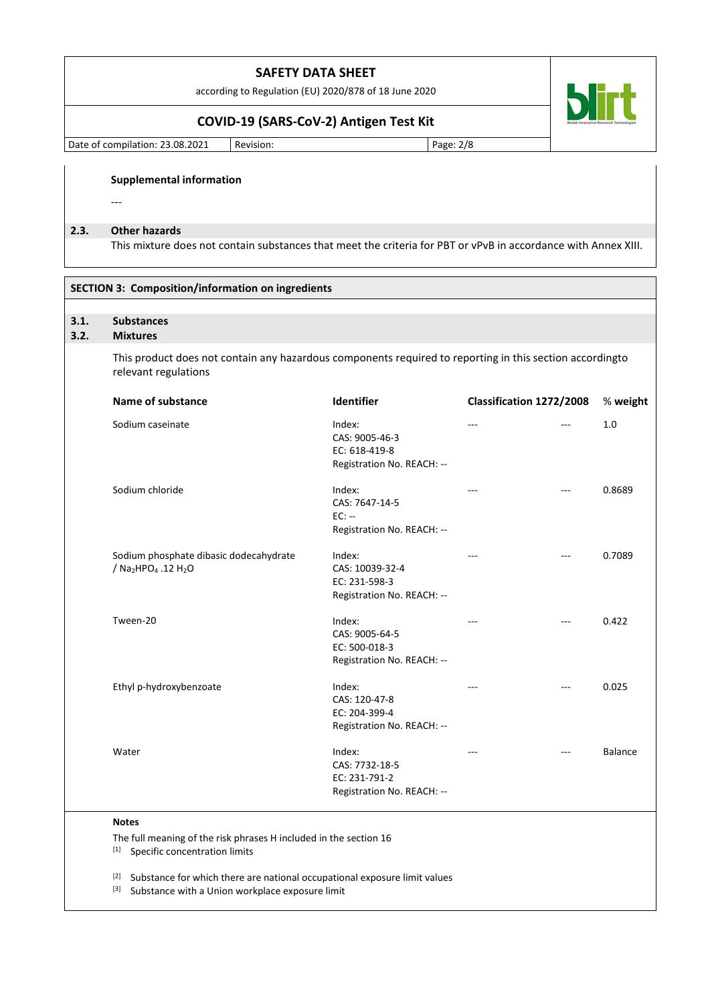according to Regulation (EU) 2020/878 of 18 June 2020

## **COVID-19 (SARS-CoV-2) Antigen Test Kit**

Date of compilation: 23.08.2021 | Revision: | Page: 2/8

**blirt** 

#### **Supplemental information**

# ---

## **2.3. Other hazards**

This mixture does not contain substances that meet the criteria for PBT or vPvB in accordance with Annex XIII.

| <b>SECTION 3: Composition/information on ingredients</b> |                                                                                                                                  |                                                                          |                          |       |                |
|----------------------------------------------------------|----------------------------------------------------------------------------------------------------------------------------------|--------------------------------------------------------------------------|--------------------------|-------|----------------|
| 3.1.                                                     | <b>Substances</b>                                                                                                                |                                                                          |                          |       |                |
| 3.2.                                                     | <b>Mixtures</b>                                                                                                                  |                                                                          |                          |       |                |
|                                                          | This product does not contain any hazardous components required to reporting in this section accordingto<br>relevant regulations |                                                                          |                          |       |                |
|                                                          | Name of substance                                                                                                                | Identifier                                                               | Classification 1272/2008 |       | % weight       |
|                                                          | Sodium caseinate                                                                                                                 | Index:<br>CAS: 9005-46-3<br>EC: 618-419-8<br>Registration No. REACH: --  | ---                      |       | 1.0            |
|                                                          | Sodium chloride                                                                                                                  | Index:<br>CAS: 7647-14-5<br>$EC: -$<br>Registration No. REACH: --        |                          |       | 0.8689         |
|                                                          | Sodium phosphate dibasic dodecahydrate<br>/ Na2HPO <sub>4</sub> .12 H <sub>2</sub> O                                             | Index:<br>CAS: 10039-32-4<br>EC: 231-598-3<br>Registration No. REACH: -- | ---                      | ---   | 0.7089         |
|                                                          | Tween-20                                                                                                                         | Index:<br>CAS: 9005-64-5<br>EC: 500-018-3<br>Registration No. REACH: --  | ---                      | ---   | 0.422          |
|                                                          | Ethyl p-hydroxybenzoate                                                                                                          | Index:<br>CAS: 120-47-8<br>EC: 204-399-4<br>Registration No. REACH: --   | ---                      | $---$ | 0.025          |
|                                                          | Water                                                                                                                            | Index:<br>CAS: 7732-18-5<br>EC: 231-791-2<br>Registration No. REACH: --  |                          |       | <b>Balance</b> |
|                                                          | <b>Notes</b><br>The full meaning of the risk phrases H included in the section 16<br>[1] Specific concentration limits           |                                                                          |                          |       |                |

[2] Substance for which there are national occupational exposure limit values

[3] Substance with a Union workplace exposure limit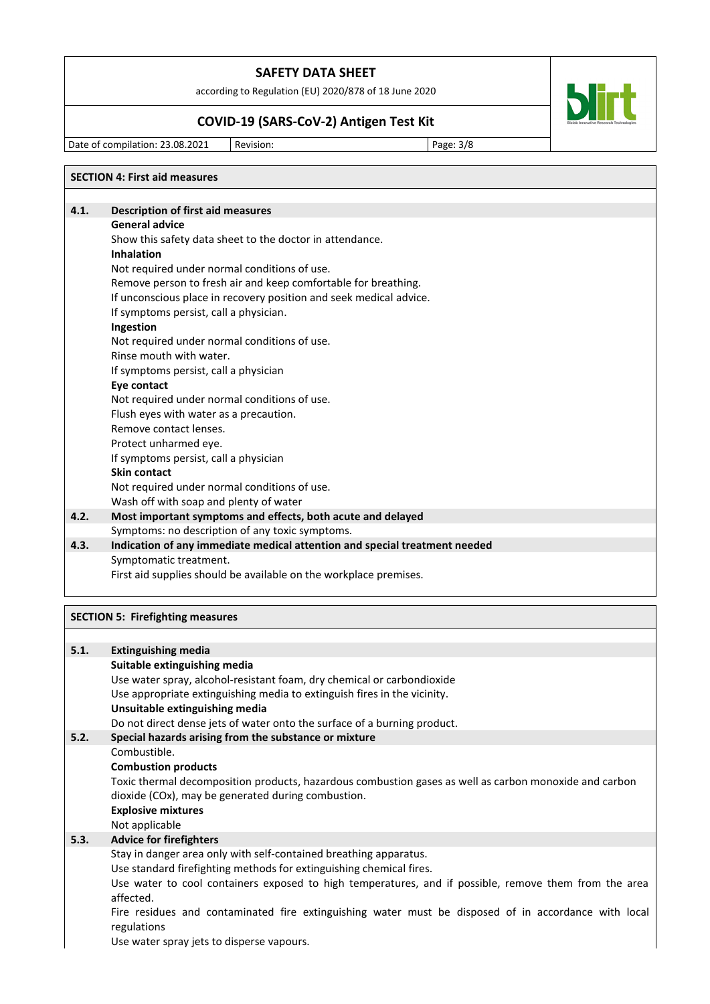according to Regulation (EU) 2020/878 of 18 June 2020

# **COVID-19 (SARS-CoV-2) Antigen Test Kit**

Date of compilation: 23.08.2021 Revision: Page: 3/8

|      | <b>SECTION 4: First aid measures</b>                                       |
|------|----------------------------------------------------------------------------|
|      |                                                                            |
| 4.1. | <b>Description of first aid measures</b>                                   |
|      | <b>General advice</b>                                                      |
|      | Show this safety data sheet to the doctor in attendance.                   |
|      | Inhalation                                                                 |
|      | Not required under normal conditions of use.                               |
|      | Remove person to fresh air and keep comfortable for breathing.             |
|      | If unconscious place in recovery position and seek medical advice.         |
|      | If symptoms persist, call a physician.                                     |
|      | Ingestion                                                                  |
|      | Not required under normal conditions of use.                               |
|      | Rinse mouth with water.                                                    |
|      | If symptoms persist, call a physician                                      |
|      | Eye contact                                                                |
|      | Not required under normal conditions of use.                               |
|      | Flush eyes with water as a precaution.                                     |
|      | Remove contact lenses.                                                     |
|      | Protect unharmed eye.                                                      |
|      | If symptoms persist, call a physician                                      |
|      | <b>Skin contact</b>                                                        |
|      | Not required under normal conditions of use.                               |
|      | Wash off with soap and plenty of water                                     |
| 4.2. | Most important symptoms and effects, both acute and delayed                |
|      | Symptoms: no description of any toxic symptoms.                            |
| 4.3. | Indication of any immediate medical attention and special treatment needed |
|      | Symptomatic treatment.                                                     |
|      | First aid supplies should be available on the workplace premises.          |
|      |                                                                            |
|      |                                                                            |

# **SECTION 5: Firefighting measures**

| 5.1. | <b>Extinguishing media</b>                                                                                                                                                                                                                                                                                                                                                                                                         |
|------|------------------------------------------------------------------------------------------------------------------------------------------------------------------------------------------------------------------------------------------------------------------------------------------------------------------------------------------------------------------------------------------------------------------------------------|
|      | Suitable extinguishing media<br>Use water spray, alcohol-resistant foam, dry chemical or carbondioxide<br>Use appropriate extinguishing media to extinguish fires in the vicinity.<br>Unsuitable extinguishing media<br>Do not direct dense jets of water onto the surface of a burning product.                                                                                                                                   |
| 5.2. | Special hazards arising from the substance or mixture                                                                                                                                                                                                                                                                                                                                                                              |
|      | Combustible.<br><b>Combustion products</b><br>Toxic thermal decomposition products, hazardous combustion gases as well as carbon monoxide and carbon<br>dioxide (COx), may be generated during combustion.<br><b>Explosive mixtures</b><br>Not applicable                                                                                                                                                                          |
| 5.3. | <b>Advice for firefighters</b>                                                                                                                                                                                                                                                                                                                                                                                                     |
|      | Stay in danger area only with self-contained breathing apparatus.<br>Use standard firefighting methods for extinguishing chemical fires.<br>Use water to cool containers exposed to high temperatures, and if possible, remove them from the area<br>affected.<br>Fire residues and contaminated fire extinguishing water must be disposed of in accordance with local<br>regulations<br>Use water spray jets to disperse vapours. |



┑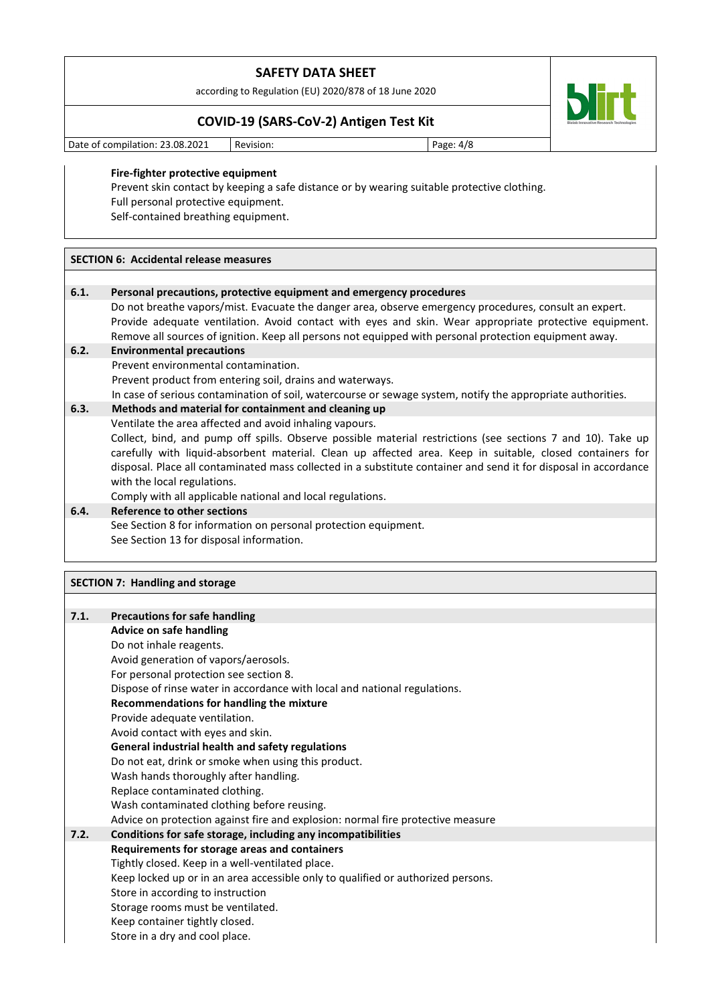according to Regulation (EU) 2020/878 of 18 June 2020

## **COVID-19 (SARS-CoV-2) Antigen Test Kit**

Date of compilation: 23.08.2021 Revision: Page: 4/8

#### **Fire-fighter protective equipment**

Prevent skin contact by keeping a safe distance or by wearing suitable protective clothing. Full personal protective equipment. Self-contained breathing equipment.

#### **SECTION 6: Accidental release measures**

#### **6.1. Personal precautions, protective equipment and emergency procedures**

Do not breathe vapors/mist. Evacuate the danger area, observe emergency procedures, consult an expert. Provide adequate ventilation. Avoid contact with eyes and skin. Wear appropriate protective equipment. Remove all sources of ignition. Keep all persons not equipped with personal protection equipment away.

#### **6.2. Environmental precautions**

Prevent environmental contamination.

Prevent product from entering soil, drains and waterways.

In case of serious contamination of soil, watercourse or sewage system, notify the appropriate authorities.

#### **6.3. Methods and material for containment and cleaning up**

Ventilate the area affected and avoid inhaling vapours.

Collect, bind, and pump off spills. Observe possible material restrictions (see sections 7 and 10). Take up carefully with liquid-absorbent material. Clean up affected area. Keep in suitable, closed containers for disposal. Place all contaminated mass collected in a substitute container and send it for disposal in accordance with the local regulations.

Comply with all applicable national and local regulations.

# **6.4. Reference to other sections** See Section 8 for information on personal protection equipment. See Section 13 for disposal information.

## **SECTION 7: Handling and storage**

| 7.1. | <b>Precautions for safe handling</b>                                             |  |  |
|------|----------------------------------------------------------------------------------|--|--|
|      | <b>Advice on safe handling</b>                                                   |  |  |
|      | Do not inhale reagents.                                                          |  |  |
|      | Avoid generation of vapors/aerosols.                                             |  |  |
|      | For personal protection see section 8.                                           |  |  |
|      | Dispose of rinse water in accordance with local and national regulations.        |  |  |
|      | Recommendations for handling the mixture                                         |  |  |
|      | Provide adequate ventilation.                                                    |  |  |
|      | Avoid contact with eyes and skin.                                                |  |  |
|      | General industrial health and safety regulations                                 |  |  |
|      | Do not eat, drink or smoke when using this product.                              |  |  |
|      | Wash hands thoroughly after handling.                                            |  |  |
|      | Replace contaminated clothing.                                                   |  |  |
|      | Wash contaminated clothing before reusing.                                       |  |  |
|      | Advice on protection against fire and explosion: normal fire protective measure  |  |  |
| 7.2. | Conditions for safe storage, including any incompatibilities                     |  |  |
|      | Requirements for storage areas and containers                                    |  |  |
|      | Tightly closed. Keep in a well-ventilated place.                                 |  |  |
|      | Keep locked up or in an area accessible only to qualified or authorized persons. |  |  |
|      | Store in according to instruction                                                |  |  |
|      | Storage rooms must be ventilated.                                                |  |  |
|      | Keep container tightly closed.                                                   |  |  |
|      | Store in a dry and cool place.                                                   |  |  |
|      |                                                                                  |  |  |

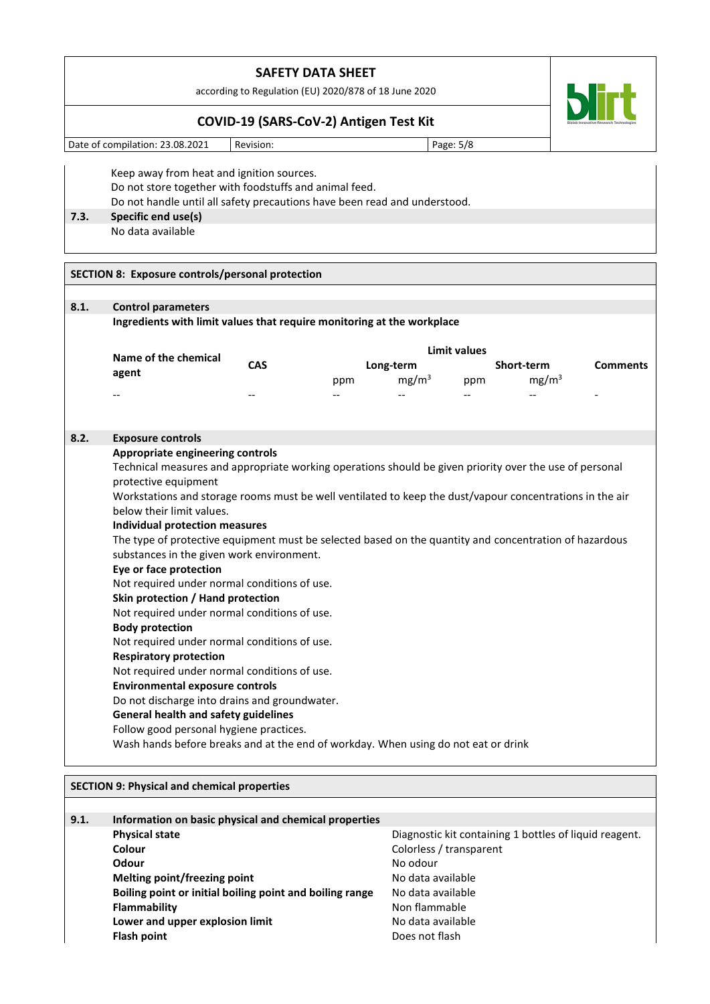according to Regulation (EU) 2020/878 of 18 June 2020

## **COVID-19 (SARS-CoV-2) Antigen Test Kit**

Date of compilation: 23.08.2021 | Revision: | Page: 5/8

Keep away from heat and ignition sources. Do not store together with foodstuffs and animal feed. Do not handle until all safety precautions have been read and understood. **7.3. Specific end use(s)** No data available

## **SECTION 8: Exposure controls/personal protection**

| 8.1. | <b>Control parameters</b>                                                                                |     |     |                   |                          |                                   |                 |  |  |  |  |  |
|------|----------------------------------------------------------------------------------------------------------|-----|-----|-------------------|--------------------------|-----------------------------------|-----------------|--|--|--|--|--|
|      | Ingredients with limit values that require monitoring at the workplace                                   |     |     |                   |                          |                                   |                 |  |  |  |  |  |
|      |                                                                                                          |     |     |                   | <b>Limit values</b>      |                                   |                 |  |  |  |  |  |
|      | Name of the chemical                                                                                     | CAS |     | Long-term         |                          | Short-term                        | <b>Comments</b> |  |  |  |  |  |
|      | agent                                                                                                    |     | ppm | mg/m <sup>3</sup> | ppm                      | mg/m <sup>3</sup>                 |                 |  |  |  |  |  |
|      | --                                                                                                       |     |     |                   | $\overline{\phantom{a}}$ |                                   |                 |  |  |  |  |  |
| 8.2. | <b>Exposure controls</b>                                                                                 |     |     |                   |                          |                                   |                 |  |  |  |  |  |
|      | Appropriate engineering controls                                                                         |     |     |                   |                          |                                   |                 |  |  |  |  |  |
|      | Technical measures and appropriate working operations should be given priority over the use of personal  |     |     |                   |                          |                                   |                 |  |  |  |  |  |
|      | protective equipment                                                                                     |     |     |                   |                          |                                   |                 |  |  |  |  |  |
|      | Workstations and storage rooms must be well ventilated to keep the dust/vapour concentrations in the air |     |     |                   |                          |                                   |                 |  |  |  |  |  |
|      | below their limit values.                                                                                |     |     |                   |                          |                                   |                 |  |  |  |  |  |
|      | <b>Individual protection measures</b>                                                                    |     |     |                   |                          |                                   |                 |  |  |  |  |  |
|      | The type of protective equipment must be selected based on the quantity and concentration of hazardous   |     |     |                   |                          |                                   |                 |  |  |  |  |  |
|      | substances in the given work environment.                                                                |     |     |                   |                          |                                   |                 |  |  |  |  |  |
|      | Eye or face protection                                                                                   |     |     |                   |                          |                                   |                 |  |  |  |  |  |
|      | Not required under normal conditions of use.                                                             |     |     |                   |                          |                                   |                 |  |  |  |  |  |
|      |                                                                                                          |     |     |                   |                          | Skin protection / Hand protection |                 |  |  |  |  |  |
|      |                                                                                                          |     |     |                   |                          |                                   |                 |  |  |  |  |  |
|      | Not required under normal conditions of use.                                                             |     |     |                   |                          |                                   |                 |  |  |  |  |  |
|      | <b>Body protection</b>                                                                                   |     |     |                   |                          |                                   |                 |  |  |  |  |  |
|      | Not required under normal conditions of use.                                                             |     |     |                   |                          |                                   |                 |  |  |  |  |  |
|      | <b>Respiratory protection</b>                                                                            |     |     |                   |                          |                                   |                 |  |  |  |  |  |
|      | Not required under normal conditions of use.                                                             |     |     |                   |                          |                                   |                 |  |  |  |  |  |
|      | <b>Environmental exposure controls</b>                                                                   |     |     |                   |                          |                                   |                 |  |  |  |  |  |
|      | Do not discharge into drains and groundwater.                                                            |     |     |                   |                          |                                   |                 |  |  |  |  |  |
|      | <b>General health and safety guidelines</b>                                                              |     |     |                   |                          |                                   |                 |  |  |  |  |  |
|      | Follow good personal hygiene practices.                                                                  |     |     |                   |                          |                                   |                 |  |  |  |  |  |

| <b>SECTION 9: Physical and chemical properties</b> |                                                          |                                                        |  |  |
|----------------------------------------------------|----------------------------------------------------------|--------------------------------------------------------|--|--|
|                                                    |                                                          |                                                        |  |  |
| 9.1.                                               | Information on basic physical and chemical properties    |                                                        |  |  |
|                                                    | <b>Physical state</b>                                    | Diagnostic kit containing 1 bottles of liquid reagent. |  |  |
|                                                    | Colour                                                   | Colorless / transparent                                |  |  |
|                                                    | Odour                                                    | No odour                                               |  |  |
|                                                    | Melting point/freezing point                             | No data available                                      |  |  |
|                                                    | Boiling point or initial boiling point and boiling range | No data available                                      |  |  |
|                                                    | Flammability                                             | Non flammable                                          |  |  |
|                                                    | Lower and upper explosion limit                          | No data available                                      |  |  |
|                                                    | <b>Flash point</b>                                       | Does not flash                                         |  |  |

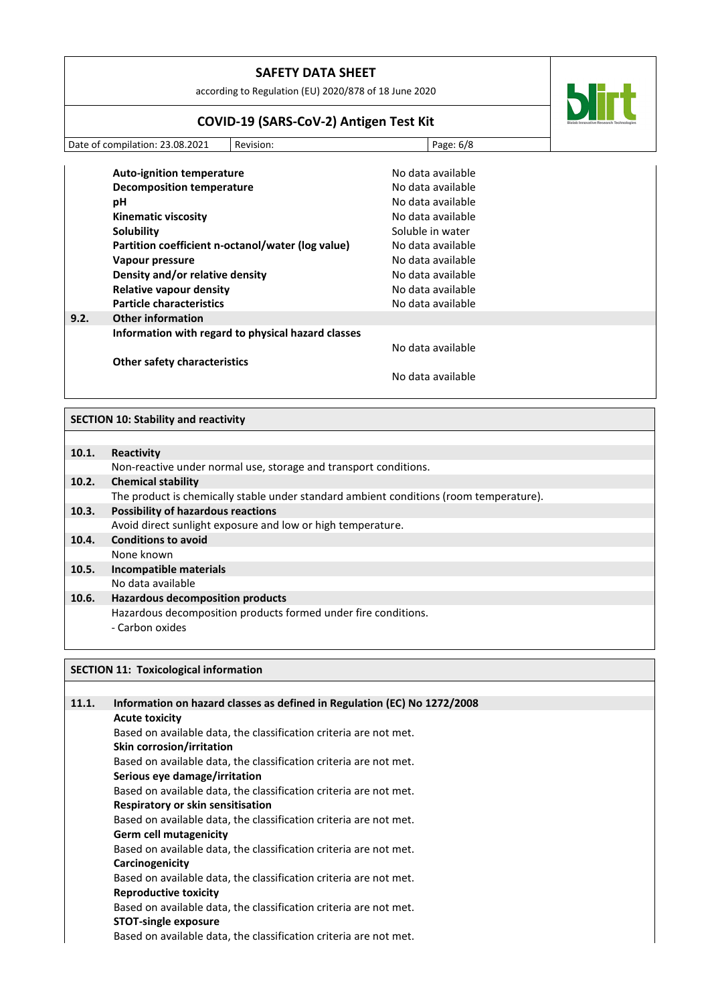| <b>SAFETY DATA SHEET</b> |  |
|--------------------------|--|
|--------------------------|--|

according to Regulation (EU) 2020/878 of 18 June 2020

# **COVID-19 (SARS-CoV-2) Antigen Test Kit**

Date of compilation: 23.08.2021 Revision: Page: 6/8

|      | <b>Auto-ignition temperature</b>                   | No data available |
|------|----------------------------------------------------|-------------------|
|      | <b>Decomposition temperature</b>                   | No data available |
|      | рH                                                 | No data available |
|      | <b>Kinematic viscosity</b>                         | No data available |
|      | Solubility                                         | Soluble in water  |
|      | Partition coefficient n-octanol/water (log value)  | No data available |
|      | Vapour pressure                                    | No data available |
|      | Density and/or relative density                    | No data available |
|      | Relative vapour density                            | No data available |
|      | <b>Particle characteristics</b>                    | No data available |
| 9.2. | <b>Other information</b>                           |                   |
|      | Information with regard to physical hazard classes |                   |
|      |                                                    | No data available |
|      | <b>Other safety characteristics</b>                |                   |
|      |                                                    | No data available |
|      |                                                    |                   |

## **SECTION 10: Stability and reactivity**

| 10.1. | Reactivity                                                                             |
|-------|----------------------------------------------------------------------------------------|
|       | Non-reactive under normal use, storage and transport conditions.                       |
| 10.2. | <b>Chemical stability</b>                                                              |
|       | The product is chemically stable under standard ambient conditions (room temperature). |
| 10.3. | <b>Possibility of hazardous reactions</b>                                              |
|       | Avoid direct sunlight exposure and low or high temperature.                            |
| 10.4. | <b>Conditions to avoid</b>                                                             |
|       | None known                                                                             |
| 10.5. | <b>Incompatible materials</b>                                                          |
|       | No data available                                                                      |
| 10.6. | <b>Hazardous decomposition products</b>                                                |
|       | Hazardous decomposition products formed under fire conditions.                         |
|       | - Carbon oxides                                                                        |
|       |                                                                                        |

## **SECTION 11: Toxicological information**

| 11.1. | Information on hazard classes as defined in Regulation (EC) No 1272/2008 |  |
|-------|--------------------------------------------------------------------------|--|
|       | <b>Acute toxicity</b>                                                    |  |
|       | Based on available data, the classification criteria are not met.        |  |
|       | <b>Skin corrosion/irritation</b>                                         |  |
|       | Based on available data, the classification criteria are not met.        |  |
|       | Serious eye damage/irritation                                            |  |
|       | Based on available data, the classification criteria are not met.        |  |
|       | Respiratory or skin sensitisation                                        |  |
|       | Based on available data, the classification criteria are not met.        |  |
|       | <b>Germ cell mutagenicity</b>                                            |  |
|       | Based on available data, the classification criteria are not met.        |  |
|       | Carcinogenicity                                                          |  |
|       | Based on available data, the classification criteria are not met.        |  |
|       | <b>Reproductive toxicity</b>                                             |  |
|       | Based on available data, the classification criteria are not met.        |  |
|       | <b>STOT-single exposure</b>                                              |  |
|       | Based on available data, the classification criteria are not met.        |  |
|       |                                                                          |  |

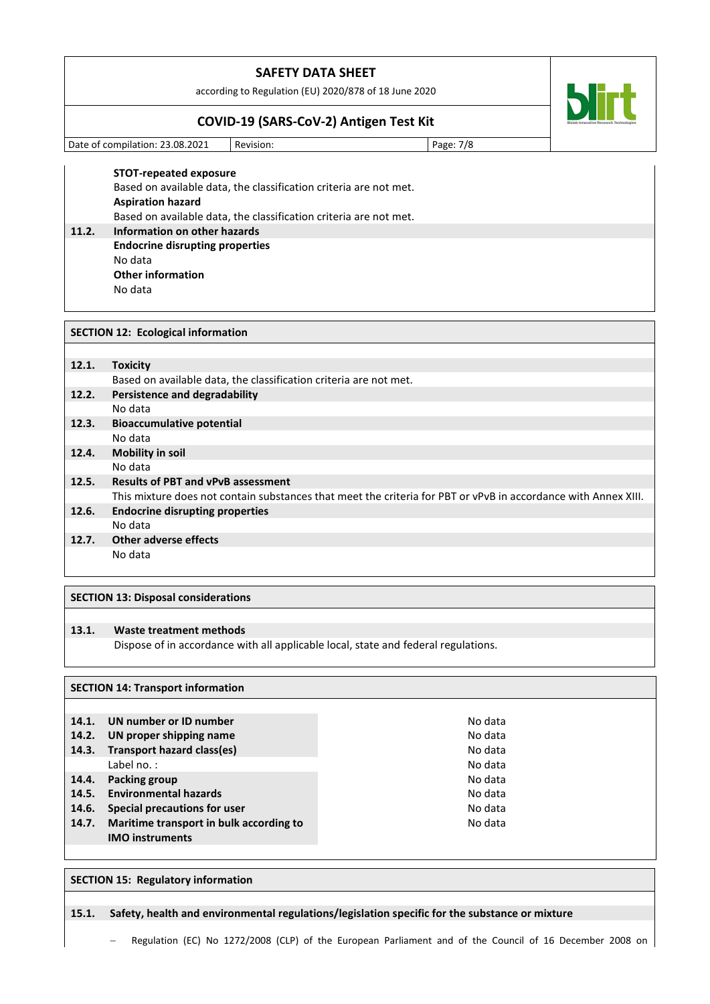according to Regulation (EU) 2020/878 of 18 June 2020

## **COVID-19 (SARS-CoV-2) Antigen Test Kit**

Date of compilation: 23.08.2021 Revision: Page: 7/8

 $\mathbf{5}$ 

**STOT-repeated exposure** Based on available data, the classification criteria are not met. **Aspiration hazard** Based on available data, the classification criteria are not met. **11.2. Information on other hazards Endocrine disrupting properties** No data **Other information**

No data

| <b>SECTION 12: Ecological information</b> |                                                                                                                |  |  |  |
|-------------------------------------------|----------------------------------------------------------------------------------------------------------------|--|--|--|
|                                           |                                                                                                                |  |  |  |
| 12.1.                                     | <b>Toxicity</b>                                                                                                |  |  |  |
|                                           | Based on available data, the classification criteria are not met.                                              |  |  |  |
| 12.2.                                     | Persistence and degradability                                                                                  |  |  |  |
|                                           | No data                                                                                                        |  |  |  |
| 12.3.                                     | <b>Bioaccumulative potential</b>                                                                               |  |  |  |
|                                           | No data                                                                                                        |  |  |  |
| 12.4.                                     | <b>Mobility in soil</b>                                                                                        |  |  |  |
|                                           | No data                                                                                                        |  |  |  |
| 12.5.                                     | <b>Results of PBT and vPvB assessment</b>                                                                      |  |  |  |
|                                           | This mixture does not contain substances that meet the criteria for PBT or vPvB in accordance with Annex XIII. |  |  |  |
| 12.6.                                     | <b>Endocrine disrupting properties</b>                                                                         |  |  |  |
|                                           | No data                                                                                                        |  |  |  |
| 12.7.                                     | Other adverse effects                                                                                          |  |  |  |
|                                           | No data                                                                                                        |  |  |  |
|                                           |                                                                                                                |  |  |  |
|                                           |                                                                                                                |  |  |  |

# **SECTION 13: Disposal considerations**

#### **13.1. Waste treatment methods**

Dispose of in accordance with all applicable local, state and federal regulations.

### **SECTION 14: Transport information**

| 14.1.<br>14.2.<br>14.3. | UN number or ID number<br>UN proper shipping name<br>Transport hazard class(es)<br>Label no.:            | No data<br>No data<br>No data<br>No data |
|-------------------------|----------------------------------------------------------------------------------------------------------|------------------------------------------|
| 14.4.<br>14.5.          | <b>Packing group</b><br><b>Environmental hazards</b>                                                     | No data<br>No data                       |
| 14.6.<br>14.7.          | <b>Special precautions for user</b><br>Maritime transport in bulk according to<br><b>IMO instruments</b> | No data<br>No data                       |

#### **SECTION 15: Regulatory information**

**15.1. Safety, health and environmental regulations/legislation specific for the substance or mixture**

− Regulation (EC) No 1272/2008 (CLP) of the European Parliament and of the Council of 16 December 2008 on